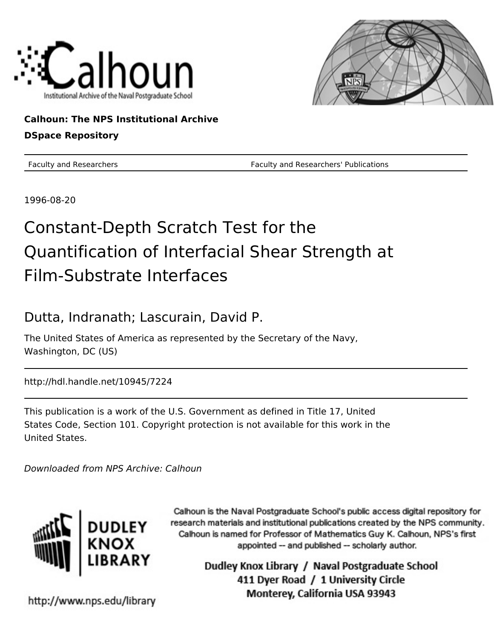



### **Calhoun: The NPS Institutional Archive DSpace Repository**

Faculty and Researchers Faculty and Researchers' Publications

1996-08-20

# Constant-Depth Scratch Test for the Quantification of Interfacial Shear Strength at Film-Substrate Interfaces

## Dutta, Indranath; Lascurain, David P.

The United States of America as represented by the Secretary of the Navy, Washington, DC (US)

http://hdl.handle.net/10945/7224

This publication is a work of the U.S. Government as defined in Title 17, United States Code, Section 101. Copyright protection is not available for this work in the United States.

Downloaded from NPS Archive: Calhoun



Calhoun is the Naval Postgraduate School's public access digital repository for research materials and institutional publications created by the NPS community. Calhoun is named for Professor of Mathematics Guy K. Calhoun, NPS's first appointed -- and published -- scholarly author.

> Dudley Knox Library / Naval Postgraduate School 411 Dyer Road / 1 University Circle Monterey, California USA 93943

http://www.nps.edu/library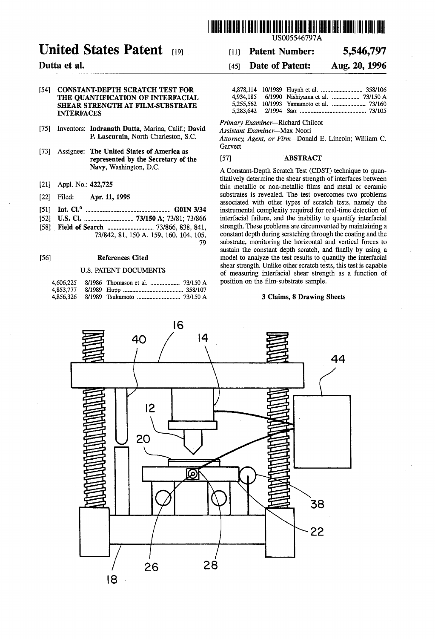

## **United States Patent**

### Dutta et al.

### [54] CONSTANT-DEPTH SCRATCH TEST FOR THE QUANTIFICATION OF INTERFACIAL SHEAR STRENGTH AT FILM-SUBSTRATE INTERFACES

- [75] Inventors: Indranath Dutta, Marina, Calif.; David P. Lascurain, North Charleston, S.C.
- [73] Assignee: The United States of America as represented by the Secretary of the Navy, Washington, D.C.
- [21] Appl. No.: 422,725
- [22] Filed: Apr. 11, 1995
- [51] Int. CI.6 •••••••••••••••••••••••..••••••••••••••••••••••.•.••••. GO IN 3/34
- [52] U.S. CI ................................. *73/150* A; 73/81; 73/866
- [58] Field of Search .............................. 73/866, 838, 841, 73/842, 81, 150 A, 159, 160, 104, 105, 79

#### [56] References Cited

### U.S. PATENT DOCUMENTS

[11] Patent Number: 5,546,797

### [45] **Date of Patent:** Aug. 20, 1996

*Primary Examiner-Richard* Chilcot

*Assistant Examiner-Max* Noori

*Attorney, Agent, or* Firm-Donald E. Lincoln; William C. Garvert

### [57] ABSTRACT

A Constant-Depth Scratch Test (CDST) technique to quantitatively determine the shear strength of interfaces between thin metallic or non-metallic films and metal or ceramic substrates is revealed. The test overcomes two problems associated with other types of scratch tests, namely the instrumental complexity required for real-time detection of interfacial failure, and the inability to quantify interfacial strength. These problems are circumvented by maintaining a constant depth during scratching through the coating and the substrate, monitoring the horizontal and vertical forces to sustain the constant depth scratch, and finally by using a model to analyze the test results to quantify the interfacial shear strength. Unlike other scratch tests, this test is capable of measuring interfacial shear strength as a function of position on the film-substrate sample.

### 3 Claims, 8 Drawing Sheets

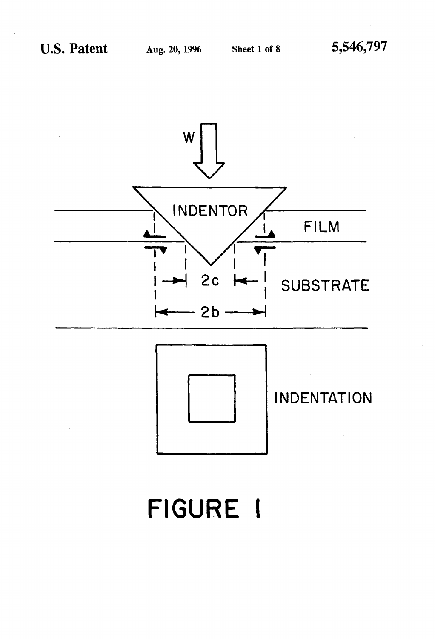

# FIGURE I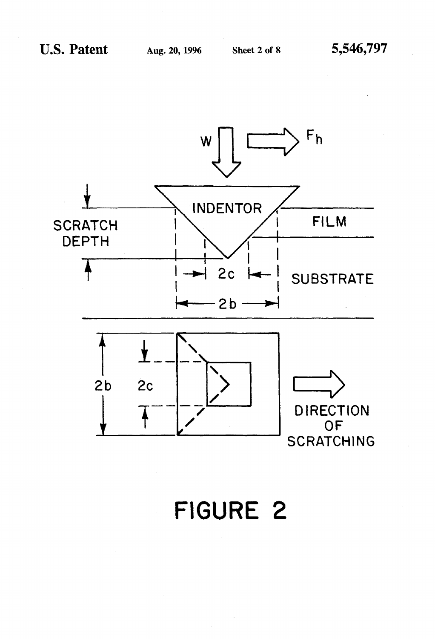

**FIGURE 2**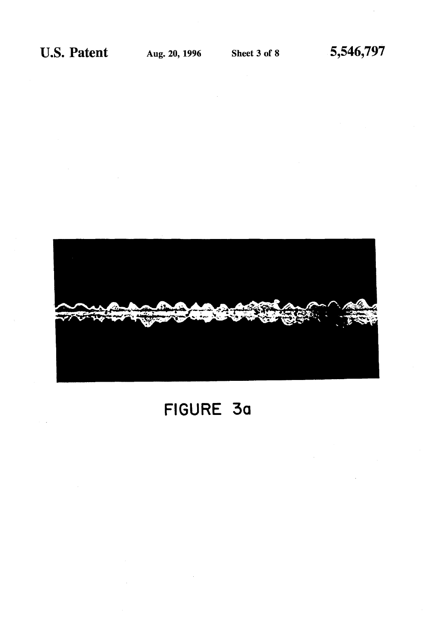

# **FIGURE 30**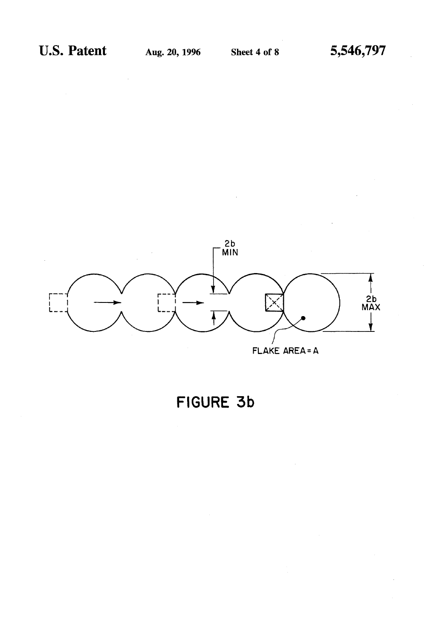

## FIGURE 3b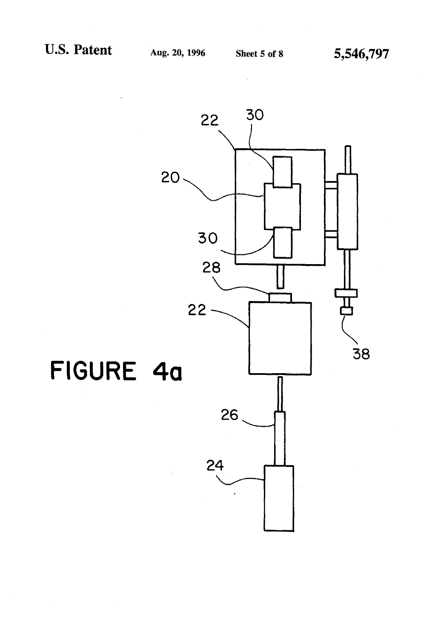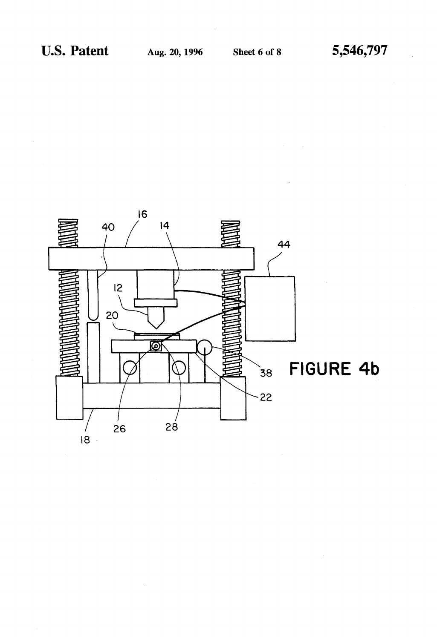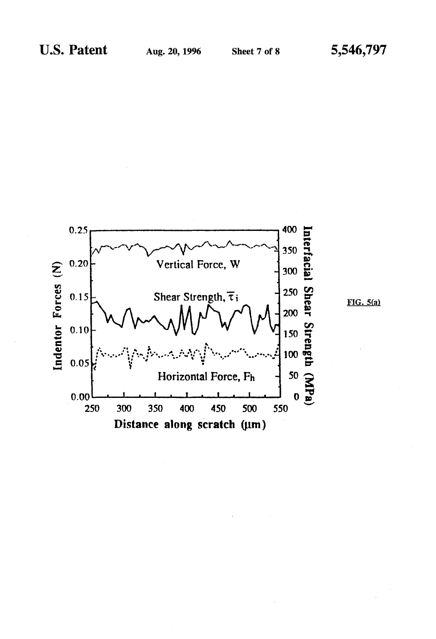

 $FIG. 5(a)$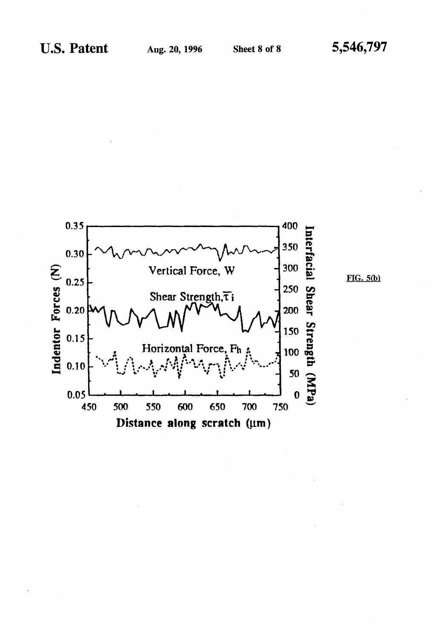

 $FIG. 5(b)$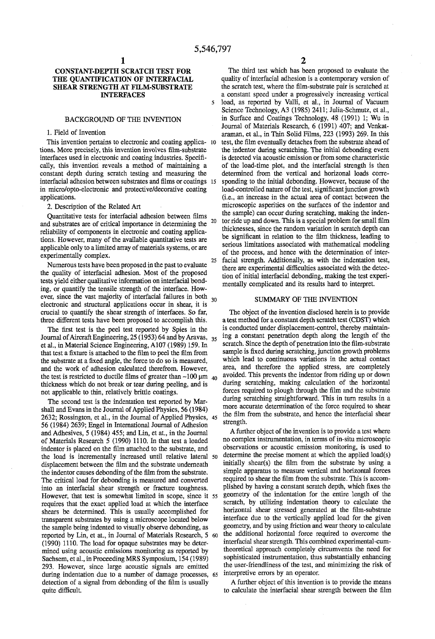### **CONSTANT-DEPTH SCRATCH TEST FOR THE QUANTIFICATION OF INTERFACIAL SHEAR STRENGTH AT FILM-SUBSTRATE INTERFACES**

### BACKGROUND OF THE INVENTION

### 1. Field of Invention

This invention pertains to electronic and coating applica- 10 tions. More precisely, this invention involves film-substrate interfaces used in electronic and coating industries. Specifically, this invention reveals a method of maintaining a constant depth during scratch testing and measuring the interfacial adhesion between substrates and films or coatings in micro/opto-electronic and protective/decorative coating applications.

2. Description of the Related Art

Quantitative tests for interfacial adhesion between films and substrates are of critical importance in determining the reliability of components in electronic and coating applications. However, many of the available quantitative tests are applicable only to a limited array of materials systems, or are experimentally complex.

Numerous tests have been proposed in the past to evaluate the quality of interfacial adhesion. Most of the proposed tests yield either qualitative information on interfacial bonding, or quantify the tensile strength of the interface. However, since the vast majority of interfacial failures in both <sub>30</sub> electronic and structural applications occur in shear, it is crucial to quantify the shear strength of interfaces. So far, three different tests have been proposed to accomplish this.

The first test is the peel test reported by Spies in the Journal of Aircraft Engineering, 25 (1953) 64 and by Aravas, 35 et al., in Material Science Engineering, A107 (1989) 159. In that test a fixture is attached to the film to peel the film from the substrate at a fixed angle, the force to do so is measured, and the work of adhesion calculated therefrom. However, the test is restricted to ductile films of greater than  $-100 \mu m_{40}$ thickness which do not break or tear during peeling, and is not applicable to thin, relatively brittle coatings.

The second test is the indentation test reported by Marshall and Evans in the Journal of Applied Physics, 56 (1984) 2632; Rossington, et al., in the Journal of Applied Physics, 45 56 (1984) 2639; Engel in International Journal of Adhesion and Adhesives, 5 (1984) 455; and Lin, et at., in the Journal of Materials Research 5 (1990) 1110. In that test a loaded indentor is placed on the film attached to the substrate, and the load is incrementally increased until relative lateral 50 displacement between the film and the substrate underneath the indentor causes debonding of the film from the substrate. The critical load for debonding is measured and converted into an interfacial shear strength or fracture toughness. However, that test is somewhat limited in scope, since it 55 requires that the exact applied load at which the interface shears be determined. This is usually accomplished for transparent substrates by using a microscope located below the sample being indented to visually observe debonding, as reported by Lin, et at., in Journal of Materials Research, 5 <sup>60</sup> (1990) 1110. The load for opaque substrates may be determined using acoustic emissions monitoring as reported by Sachsem, et al., in Proceeding MRS Symposium, 154 (1989) 293. However, since large acoustic signals are emitted during indentation due to a number of damage processes, 65 detection of a signal from debonding of the film is usually quite difficult.

2

The third test which has been proposed to evaluate the quality of interfacial adhesion is a contemporary version of the scratch test, where the film-substrate pair is scratched at a constant speed under a progressively increasing vertical 5 load, as reported by Valli, et al., in Journal of Vacuum Science Technology, A3 (1985) 2411; Julia-Schmutz, et al., in Surface and Coatings Technology, 48 (1991) 1; Wu in Journal of Materials Research, 6 (1991) 407; and Venkataraman, et al., in Thin Solid Films, 223 (1993) 269. In this test, the film eventually detaches from the substrate ahead of the indentor during scratching. The initial debonding event is detected via acoustic emission or from some characteristic of the load-time plot, and the interfacial strength is then determined from the vertical and horizonal loads corresponding to the initial debonding. However, because of the load-controlled nature of the test, significant junction growth (Le., an increase in the actual area of contact between the microscopic asperities on the surfaces of the indentor and the sample) can occur during scratching, making the inden-20 tor ride up and down. This is a special problem for small film thicknesses, since the random variation in scratch depth can be significant in relation to the film thickness, leading to serious limitations associated with mathematical modeling of the process, and hence with the determination of inter-25 facial strength. Additionally, as with the indentation test, there are experimental difficulties associated with the detection of initial interfacial debonding, making the test experimentally complicated and its results hard to interpret.

### SUMMARY OF THE INVENTION

The object of the invention disclosed herein is to provide a test method for a constant depth scratch test (CDST) which is conducted under displacement-control, thereby maintaining a constant penetration depth along the length of the scratch. Since the depth of penetration into the film-substrate sample is fixed during scratching, junction growth problems which lead to continuous variations in the actual contact area, and therefore the applied stress, are completely avoided. This prevents the indentor from riding up or down during scratching, making calculation of the horizontal forces required to plough through the film and the substrate during scratching straightforward. This in turn results in a more accurate determination of the force required to shear the film from the substrate, and hence the interfacial shear strength.

A further object of the invention is to provide a test where no complex instrumentation, in terms of in-situ microscopic observations or acoustic emission monitoring, is used to determine the precise moment at which the applied load(s) initially shear(s) the film from the substrate by using a simple apparatus to measure vertical and horizontal forces required to shear the film from the substrate. This is accomplished by having a constant scratch depth, which fixes the geometry of the indentation for the entire length of the scratch, by utilizing indentation theory to calculate the horizontal shear stressed generated at the film-substrate interface due to the vertically applied load for the given geometry, and by using friction and wear theory to calculate the additional horizontal force required to overcome the interfacial shear strength. This combined experimental-cumtheoretical approach completely circumvents the need for sophisticated instrumentation, thus substantially enhancing the user-friendliness of the test, and minimizing the risk of interpretive errors by an operator.

A further object of this invention is to provide the means to calculate the interfacial shear strength between the film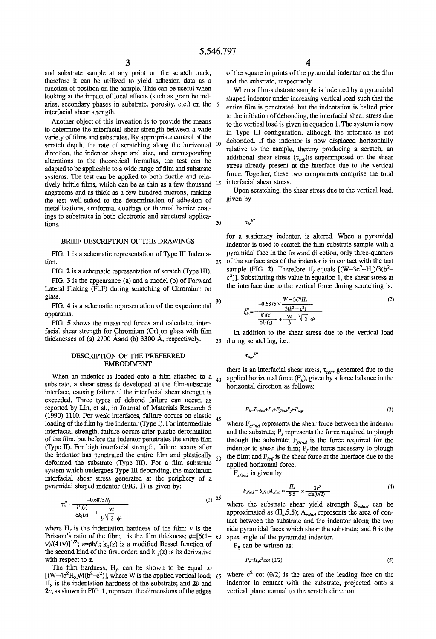and substrate sample at any point on the scratch track; therefore it can be utilized to yield adhesion data as a function of position on the sample. This can be useful when looking at the impact of local effects (such as grain boundaries, secondary phases in substrate, porosity, etc.) on the interfacial shear strength.

Another object of this invention is to provide the means to determine the interfacial shear strength between a wide variety of films and substrates. By appropriate control of the scratch depth, the rate of scratching along the horizontal direction, the indentor shape and size, and corresponding alterations to the theoretical formulas, the test can be adapted to be applicable to a wide range of film and substrate systems. The test can be applied to both ductile and relatively brittle films, which can be as thin as a few thousand <sup>15</sup> angstroms and as thick as a few hundred microns, making the test well-suited to the determination of adhesion of metallizations, conformal coatings or thermal barrier coatings to substrates in both electronic and structural applications.

### BRIEF DESCRIPTION OF THE DRAWINGS

tion.

FlG. 2 is a schematic representation of scratch (Type III).

FlG. 3 is the appearance (a) and a model (b) of Forward Lateral Flaking (FLF) during scratching of Chromium on glass. 30

FlG. 4 is a schematic representation of the experimental apparatus.

FlG. 5 shows the measured forces and calculated interfacial shear strength for Chromium (Cr) on glass with film thicknesses of (a) 2700 Åand (b) 3300 Å, respectively.  $\frac{35}{35}$  during scratching, i.e.,

### DESCRIPTION OF THE PREFERRED EMBODIMENT

When an indentor is loaded onto a film attached to a substrate, a shear stress is developed at the film-substrate interface, causing failure if the interfacial shear strength is exceeded. Three types of debond failure can occur, as reported by Lin, et al., in Journal of Materials Research 5 (1990) 1110. For weak interfaces, failure occurs on elastic  $_{45}$ loading of the film by the indentor (Type I). For intermediate interfacial strength, failure occurs after plastic deformation of the film, but before the indentor penetrates the entire film (Type II). For high interfacial strength, failure occurs after the indentor has penetrated the entire film and plastically  $_{50}$ deformed the substrate (Type III). For a film substrate system which undergoes Type III debonding, the maximum interfacial shear stress generated at the periphery of a pyramidal shaped indentor (FlG. 1) is given by:

$$
\tau_{iv}^{III} = \frac{-0.6875H_f}{\frac{k_1(z)}{\Phi k_1(z)} + \frac{\nu t}{b\sqrt{2}\Phi^2}}
$$
(1) 55

Poisson's ratio of the film; t is the film thickness;  $\phi = [6(1-\pi)\cos(\theta)]$ v)/(4+v)]<sup>1/2</sup>; z= $\phi$ b/t; k<sub>1</sub>(z) is a modified Bessel function of the second kind of the first order; and  $k'_{1}(z)$  is its derivative with respect to z.

The film hardness,  $H_{\rho}$  can be shown to be equal to  $[(W-4c^2H_8)/4(b^2-c^2)]$ , where W is the applied vertical load; 65  $H<sub>g</sub>$  is the indentation hardness of the substrate; and  $2b$  and *2c,* as shown in FlG. 1, represent the dimensions of the edges

of the square imprints of the pyramidal indentor on the film and the substrate, respectively.

When a film-substrate sample is indented by a pyramidal shaped indentor under increasing vertical load such that the 5 entire film is penetrated, but the indentation is halted prior to the initiation of debonding, the interfacial shear stress due to the vertical load is given in equation 1. The system is now in Type III configuration, although the interface is not 10 debonded. If the indentor is now displaced horizontally relative to the sample, thereby producing a scratch, an additional shear stress  $(\tau_{\text{ieff}})$ is superimposed on the shear stress already present at the interface due to the vertical force. Together, these two components comprise the total interfacial shear stress.

Upon scratching, the shear stress due to the vertical load, given by

20  $\tau_{i\nu}^{\phantom{i\nu}III}$ 

for a stationary indentor, is altered. When a pyramidal indentor is used to scratch the film-substrate sample with a FIG. 1 is a schematic representation of Type III Indenta- pyramidal face in the forward direction, only three-quarters <sup>25</sup>of the surface area of the indentor is in contact with the test sample (FIG. 2). Therefore  $H_f$  equals  $[(W-3c^2-H_s)/3(b^2-1)]$  $(c^2)$ ]. Substituting this value in equation 1, the shear stress at the interface due to the vertical force during scratching is:

$$
\tau_{thv}^{III} = \frac{-0.6875 \times \frac{W - 3C^2 H_s}{3(b^2 - c^2)}}{\frac{k_1(z)}{\phi k_1(z)} + \frac{vt}{b} \sqrt{2} \phi^2}
$$
(2)

In addition to the shear stress due to the vertical load

 $\tau_{i h v^{'}}{}^{I\!I}$ 

there is an interfacial shear stress,  $\tau_{ie\text{f}j}$ , generated due to the applied horizontal force  $(F_h)$ , given by a force balance in the horizontal direction as follows:

$$
F_h = F_{sind} + P_s + F_{final} P_f + F_{ieff}
$$
 (3)

where  $F_{\text{s/ind}}$  represents the shear force between the indentor and the substrate;  $P_s$  represents the force required to plough through the substrate;  $F_{final}$  is the force required for the indentor to shear the film;  $P_f$  the force necessary to plough the film; and  $F_{ief}$  is the shear force at the interface due to the applied horizontal force.

*Fslind* is given by:

$$
F_{\text{slind}} = S_{\text{slind}} A_{\text{slind}} \approx \frac{H_s}{5.5} \times \frac{2c^2}{\sin(\Theta/2)}\tag{4}
$$

where the substrate shear yield strength  $S_{s/ind}$  can be approximated as  $(H<sub>s</sub>5.5)$ ;  $A<sub>s/ind</sub>$  represents the area of contact between the substrate and the indentor along the two where  $H_f$  is the indentation hardness of the film; v is the side pyramidal faces which shear the substrate; and  $\theta$  is the 60 apex angle of the pyramidal indentor.

 $P<sub>g</sub>$  can be written as:

$$
P_s = H_s c^2 \cot(\theta/2) \tag{5}
$$

where  $c^2$  cot ( $\theta$ /2) is the area of the leading face on the indentor in contact with the substrate, projected onto a vertical plane normal to the scratch direction.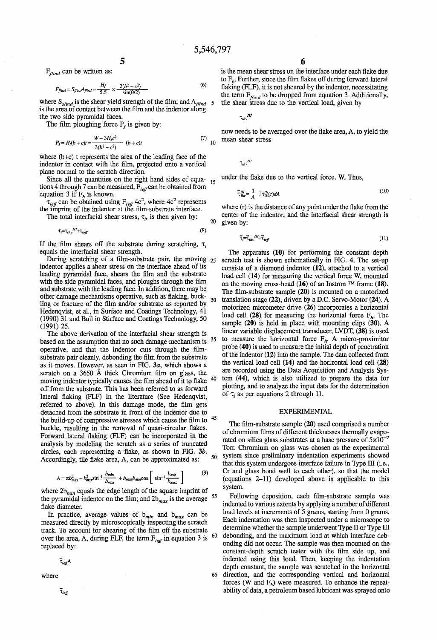*Fflind* can be written as:

$$
F_{\text{Jlind}} = S_{\text{Jlind}} A_{\text{Jlind}} \approx \frac{H_f}{5.5} \times \frac{2(b^2 - c^2)}{\sin(\theta/2)}\tag{6}
$$

where  $S_{\text{wind}}$  is the shear yield strength of the film; and  $A_{\text{fluid}}$ is the area of contact between the film and the indentor along the two side pyramidal faces.

The film ploughing force  $P_r$  is given by:

$$
P_f = H_f(b + c)t = \frac{W - 3H_s c^2}{3(b^2 - c^2)} \quad (b + c)t
$$
\n(7)

where (b+c) t represents the area of the leading face of the indentor in contact with the film, projected onto a vertical plane normal to the scratch direction.

Since all the quantities on the right hand sides of equa- $_{15}$ tions 4 through 7 can be measured,  $F_{\text{ref}}$  can be obtained from equation 3 if  $F_h$  is known.  $\overline{\tau}_{ihv}^m = \frac{1}{A}$ 

 $\tau_{\text{ref}}$  can be obtained using *F*<sub>*ieff*</sub> 4c<sup>2</sup>, where 4c<sup>2</sup> represents the imprint of the indentor at the film-substrate interface.

The total interfacial shear stress,  $\tau_i$ , is then given by:

$$
\tau_i = \tau_{ih} \cdot H + \tau_{ieff} \tag{8}
$$

If the film shears off the substrate during scratching,  $\tau_i$ equals the interfacial shear strength.

During scratching of a film-substrate pair, the moving  $_{25}$ indentor applies a shear stress on the interface ahead of its leading pyramidal face, shears the film and the substrate with the side pyramidal faces, and ploughs through the film and substrate with the leading face. In addition, there may be other damage mechanisms operative, such as flaking, buckother damage mechanisms operative, such as haking, buck-<br> $\frac{30}{30}$ Hedenqvist, et al., in Surface and Coatings Technology, 41 (1990) 31 and Bull in Stirface and Coatings Technology, 50 (1991) 25.

The above derivation of the interfacial shear strength is based on the assumption that no such damage mechanism is <sup>35</sup> operative, and that the indentor cuts through the filmsubstrate pair cleanly, debonding the film from the substrate as it moves. However, as seen in FIG. *3a,* which shows a scratch on a 3650 A thick Chromium film on glass, the moving indentor typically causes the film ahead of it to flake 40 off from the substrate. This has been referred to as forward lateral flaking (FLF) in the literature (See Hedenqvist, referred to above). In this damage mode, the film gets detached from the substrate in front of the indentor due to the build-up of compressive stresses which cause the film to <sup>45</sup> buckle, resulting in the removal of quasi-circular flakes. Forward lateral flaking (FLF) can be incorporated in the analysis by modeling the scratch as a series of truncated circles, each representing a flake, as shown in FIG. 3b.

$$
A = \pi b_{max}^2 - b_{max}^2 \sin^{-1} \frac{b_{min}}{b_{max}} + b_{max} b_{min} \cos \left[ \sin^{-1} \frac{b_{min}}{b_{max}} \right] \tag{9}
$$

where  $2b_{min}$  equals the edge length of the square imprint of the pyramidal indentor on the film; and  $2b_{max}$  is the average 55 flake diameter.

In practice, average values of  $b_{min}$  and  $b_{max}$  can be measured directly by microscopically inspecting the scratch track. To account for shearing of the film off the substrate over the area, A, during FLF, the term  $F_{\text{ref}}$  in equation 3 is  $\frac{60}{3}$ replaced by:

$$
\bar{\tau}_{\text{ref}}A
$$

 $\bar{\tau}_{\mathit{ref}}$ 

is the mean shear stress on the interface under each flake due to  $F<sub>b</sub>$ . Further, since the film flakes off during forward lateral flaking (FLF), it is not sheared by the indentor, necessitating the term  $F_{\text{final}}$  to be dropped from equation 3. Additionally, 5 tIle shear stress due to the vertical load, given by

 $\tau_{i h \nu}^{\phantom{\dagger}} ^{\phantom{\dagger}}$ 

now needs to be averaged over the flake area, A, to yield the mean shear stress

 $\overline{\tau}_{ikv}$ <sup>III</sup>

under the flake due to the vertical force, W. Thus,

$$
\lim_{i\to\infty} = \frac{1}{t} \int \tau_{i\omega}^{III}(r) dA \tag{10}
$$

where (r) is the distance of any point under the flake from the center of the indentor, and the interfacial shear strength is 20 given by:

$$
\bar{\tau}_i = \bar{\tau}_{i\mu\nu}^{\ \ \mu} + \bar{\tau}_{i\neq\bar{\mu}} \tag{11}
$$

The apparatus  $(10)$  for performing the constant depth scratch test is shown schematically in FIG. 4. The set-up consists of a diamond indentor (12), attached to. a vertical load cell (14) for measuring the vertical force W, mounted on the moving cross-head (16) of an Instron  $TM$  frame (18). The film-substrate sample (20) is mounted on a motorized translation stage (22), driven by a D.C. Servo-Motor (24). A motorized micrometer drive (26) incorporates a horizontal load cell (28) for measuring the horizontal force  $F<sub>h</sub>$ . The sample (20) is held in place with mounting clips (30). A linear variable displacement transducer, LVDT, (38) is used to measure the horizontal force  $F_h$ . A micro-proximitor probe (40) is used to measure the initial depth of penetration of the indentor  $(12)$  into the sample. The data collected from the vertical load cell (14) and the horizontal load cell (28) are recorded using the Data Acquisition and Analysis System (44), which is also utilized to prepare the data for plotting, and to analyze the input data for the determination of  $\tau$ , as per equations 2 through 11.

### EXPERIMENTAL

The film-substrate sample (20) used comprised a number of chromium films of different thicknesses thermally evaporated on silica glass substrates at a base pressure of  $5\times10^{-7}$ Torr. Chromium on glass was chosen as the experimental Accordingly, tile flake area, A, can be approximated as:  $\frac{50}{2}$  system since preliminary indentation experiments showed Accordingly, tile flake area, A, can be approximated as: that this system undergoes interface failure in Type III (i.e., Cr and glass bond well to each other), so that the model (equations 2-11) developed above is applicable to this system.

Following deposition, each film-substrate sample was indented to various extents by applying a number of different load levels at increments of 5 grams, starting from 0 grams. Each indentation was then inspected under a microscope to determine whether the sample underwent Type IT or Type III debonding, and the maximum load at which interface debonding did not occur. The sample was then mounted on the constant-depth scratch tester with the film side up, and indented using this load. Then, keeping the indentation depth constant, the sample was scratched in the horizontal where **65** direction, and the corresponding vertical and horizontal forces (W and F<sub>h</sub>) were measured. To enhance the repeatability of data, a petroleum based lubricant was sprayed onto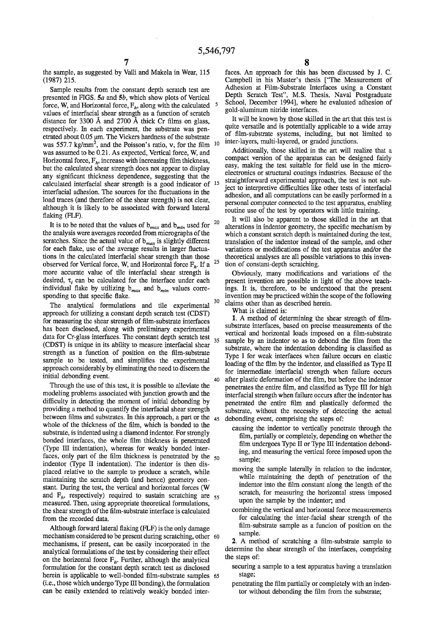the sample, as suggested by Valli and Makela in Wear, 115 (1987) 215.

presented in FIGS. *Sa* and *Sb,* which show plots of Vertical force, W, and Horizontal force, F*<sup>h</sup> ,* along with the calculated values of interfacial shear strength as a function of scratch distance for 3300 A and 2700 A thick Cr films on glass, respectively. In each experiment, the substrate was penetrated about  $0.05 \mu$ m. The Vickers hardness of the substrate was 557.7 kg/mm<sup>2</sup>, and the Poisson's ratio, v, for the film was assumed to be 0.21. As expected, Vertical force, W, and Horizontal force,  $F_h$ , increase with increasing film thickness, but the calculated shear strength does not appear to display any significant thickness dependence, suggesting that the calculated interfacial shear strength is a good indicator of <sup>15</sup> interfacial adhesion. The sources for the fluctuations in the load traces (and therefore of the shear strength) is not clear, although it is likely to be associated with forward lateral flaking (FLF).

It is to be noted that the values of *bmax* and *bmin* used for the analysis were averages recorded from micrographs of the scratches. Since the actual value of *bmax* is slightly different for each flake, use of the average results in larger fluctuations in the calculated interfacial shear strength than those observed for Vertical force, W, and Horizontal force F*h•* If a more accurate value of tile interfacial shear strength is desired,  $\tau_i$  can be calculated for the interface under each individual flake by utilizing  $b_{max}$  and  $b_{min}$  values corresponding to that specific flake.

The analytical formulations and tile experimental approach for utilizing a constant depth scratch test (CDST) for measuring the shear strength of film-substrate interfaces has been disclosed, along with preliminary experimental data for Cr-glass interfaces. The constant depth scratch test (CDST) is unique in its ability to measure interfacial shear strength as a function of position on the film-substrate sample to be tested, and simplifies the experimental approach considerably by eliminating the need to discern the initial debonding event.

Through the use of this test, it is possible to alleviate the modeling problems associated with junction growth and the difficulty in detecting the moment of initial debonding by providing a method to quantify the interfacial shear strength between films and substrates. In this approach, a part or the whole of the thickness of the film, which is bonded to the substrate, is indented using a diamond indentor. For strongly bonded interfaces, the whole film thickness is penetrated (Type III indentation), whereas for weakly bonded interfaces, only part of the film thickness is penetrated by the  $50$ indentor (Type II indentation). The indentor is then displaced relative to the sample to produce a scratch, while maintaining the scratch depth (and hence) geometry constant. During the test, the vertical and horizontal forces (W and  $F_h$ , respectively) required to sustain scratching are  $55$ measured. Then, using appropriate theoretical formulations, the shear strength of the film-substrate interface is calculated from the recorded data.

Although forward lateral flaking (FLF) is the only damage mechanism considered to be present during scratching, other 60 mechanisms, if present, can be easily incorporated in the analytical formulations of the test by considering their effect on the horizontal force  $F_h$ . Further, although the analytical formulation for the constant depth scratch test as disclosed herein is applicable to well-bonded film-substrate samples 65 (i.e., those which undergo Type III bonding), the formulation can be easily extended to relatively weakly bonded inter-

faces. An approach for this has been discussed by J. C. Campbell in his Master's thesis [''The Measurement of Adhesion at Film-Substrate Interfaces using a Constant Sample results from the constant depth scratch test are  $\frac{\text{Adneson}}{\text{Deph}}$  at Film-Substrate interfaces using a Constant depth scratch  $\frac{\text{Deph}}{\text{Deph}}$  Scratch Test", M.S. Thesis, Naval Postgraduate 5 School, December 1994], where he evaluated adhesion of gold-aluminum nitride interfaces.

> It will be known by those skilled in the art that this test is quite versatile and is potentially applicable to a wide array of film-substrate systems, including, but not limited to 10 inter-layers, multi-layered, or graded junctions.

Additionally, those skilled in the art will realize that a compact version of the apparatus can be designed fairly easy, making the test suitable for field use in the microelectronics or structural coatings industries. Because of the straightforward experimental approach, the test is not subject to interpretive difficulties like other tests of interfacial adhesion, and all computations can be easily performed in a personal computer connected to the test apparatus, enabling routine use of the test by operators with little training.

It will also be apparent to those skilled in the art that alterations in indentor geometry, the specific mechanism by which a constant scratch depth is maintained during the test, translation of the indentor instead of the sample, and other variations or modifications of the test apparatus and/or the theoretical analyses are all possible variations to this inven-<sup>25</sup> tion of constant-depth scratching.

Obviously, many modifications and variations of the present invention are possible in light of the above teachings. It is, therefore, to be understood that the present invention may be practiced within the scope of the following claims other than as described herein.

What is claimed is:

1. A method of determining the shear strength of filmsubstrate interfaces, based on precise measurements of the vertical and horizontal loads imposed on a film-substrate 35 sample by an indentor so as to debond the film from the substrate, where the indentation debonding is classified as Type I for weak interfaces when failure occurs on elastic loading of the film by the indentor, and classified as Type II for intermediate interfacial strength when failure occurs 40 after plastic deformation of the film, but before the indentor penetrates the entire film, and classified as Type III for high interfacial strength when failure occurs after the indentor has penetrated the entire film and plastically deformed the substrate, without the necessity of detecting the actual 45 debonding event, comprising the steps of:

- causing the indentor to vertically penetrate through the film, partially or completely, depending on whether the film undergoes Type II or Type III indentation debonding, and measuring the vertical force imposed upon the sample;
- moving the sample laterally in relation to the indentor, while maintaining the depth of penetration of the indentor into the film constant along the length of the scratch, for measuring the horizontal stress imposed upon the sample by the indentor; and
- combining the vertical and horizontal force measurements for calculating the inter-facial shear strength of the film-substrate sample as a funcion of position on the sample.

2. A method of scratching a film-substrate sample to determine the shear strength of the interfaces, comprising the steps of:

- securing a sample to a test apparatus having a translation stage;
- penetrating the film partially or completely with an indentor without debonding the film from the substrate;